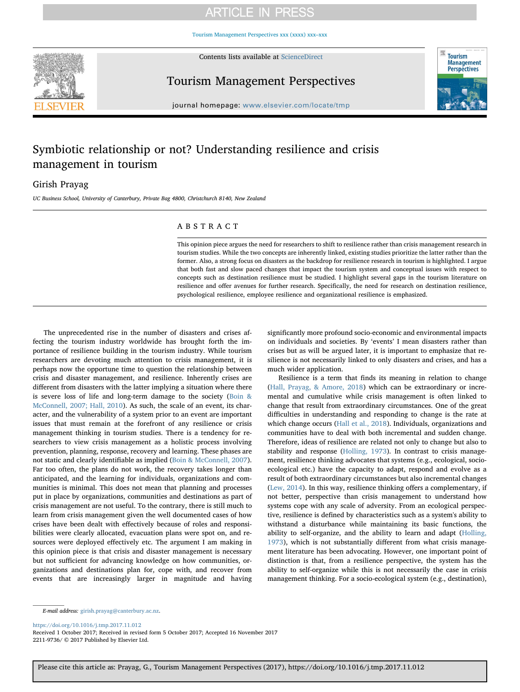# **ARTICLE IN PRESS**

[Tourism Management Perspectives xxx \(xxxx\) xxx–xxx](https://doi.org/10.1016/j.tmp.2017.11.012)



Contents lists available at [ScienceDirect](http://www.sciencedirect.com/science/journal/22119736)

Tourism Management Perspectives



journal homepage: [www.elsevier.com/locate/tmp](https://www.elsevier.com/locate/tmp)

# Symbiotic relationship or not? Understanding resilience and crisis management in tourism

## Girish Prayag

UC Business School, University of Canterbury, Private Bag 4800, Christchurch 8140, New Zealand

## ABSTRACT

This opinion piece argues the need for researchers to shift to resilience rather than crisis management research in tourism studies. While the two concepts are inherently linked, existing studies prioritize the latter rather than the former. Also, a strong focus on disasters as the backdrop for resilience research in tourism is highlighted. I argue that both fast and slow paced changes that impact the tourism system and conceptual issues with respect to concepts such as destination resilience must be studied. I highlight several gaps in the tourism literature on resilience and offer avenues for further research. Specifically, the need for research on destination resilience, psychological resilience, employee resilience and organizational resilience is emphasized.

The unprecedented rise in the number of disasters and crises affecting the tourism industry worldwide has brought forth the importance of resilience building in the tourism industry. While tourism researchers are devoting much attention to crisis management, it is perhaps now the opportune time to question the relationship between crisis and disaster management, and resilience. Inherently crises are different from disasters with the latter implying a situation where there is severe loss of life and long-term damage to the society ([Boin &](#page-2-0) [McConnell, 2007; Hall, 2010\)](#page-2-0). As such, the scale of an event, its character, and the vulnerability of a system prior to an event are important issues that must remain at the forefront of any resilience or crisis management thinking in tourism studies. There is a tendency for researchers to view crisis management as a holistic process involving prevention, planning, response, recovery and learning. These phases are not static and clearly identifiable as implied [\(Boin & McConnell, 2007](#page-2-0)). Far too often, the plans do not work, the recovery takes longer than anticipated, and the learning for individuals, organizations and communities is minimal. This does not mean that planning and processes put in place by organizations, communities and destinations as part of crisis management are not useful. To the contrary, there is still much to learn from crisis management given the well documented cases of how crises have been dealt with effectively because of roles and responsibilities were clearly allocated, evacuation plans were spot on, and resources were deployed effectively etc. The argument I am making in this opinion piece is that crisis and disaster management is necessary but not sufficient for advancing knowledge on how communities, organizations and destinations plan for, cope with, and recover from events that are increasingly larger in magnitude and having significantly more profound socio-economic and environmental impacts on individuals and societies. By 'events' I mean disasters rather than crises but as will be argued later, it is important to emphasize that resilience is not necessarily linked to only disasters and crises, and has a much wider application.

Resilience is a term that finds its meaning in relation to change ([Hall, Prayag, & Amore, 2018](#page-2-1)) which can be extraordinary or incremental and cumulative while crisis management is often linked to change that result from extraordinary circumstances. One of the great difficulties in understanding and responding to change is the rate at which change occurs ([Hall et al., 2018](#page-2-1)). Individuals, organizations and communities have to deal with both incremental and sudden change. Therefore, ideas of resilience are related not only to change but also to stability and response [\(Holling, 1973](#page-2-2)). In contrast to crisis management, resilience thinking advocates that systems (e.g., ecological, socioecological etc.) have the capacity to adapt, respond and evolve as a result of both extraordinary circumstances but also incremental changes ([Lew, 2014](#page-2-3)). In this way, resilience thinking offers a complementary, if not better, perspective than crisis management to understand how systems cope with any scale of adversity. From an ecological perspective, resilience is defined by characteristics such as a system's ability to withstand a disturbance while maintaining its basic functions, the ability to self-organize, and the ability to learn and adapt [\(Holling,](#page-2-2) [1973\)](#page-2-2), which is not substantially different from what crisis management literature has been advocating. However, one important point of distinction is that, from a resilience perspective, the system has the ability to self-organize while this is not necessarily the case in crisis management thinking. For a socio-ecological system (e.g., destination),

<https://doi.org/10.1016/j.tmp.2017.11.012>

Received 1 October 2017; Received in revised form 5 October 2017; Accepted 16 November 2017 2211-9736/ © 2017 Published by Elsevier Ltd.

E-mail address: [girish.prayag@canterbury.ac.nz](mailto:girish.prayag@canterbury.ac.nz).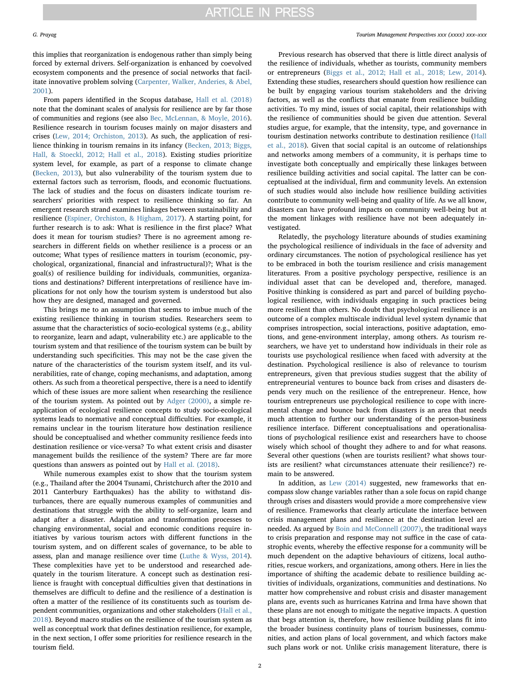this implies that reorganization is endogenous rather than simply being forced by external drivers. Self-organization is enhanced by coevolved ecosystem components and the presence of social networks that facilitate innovative problem solving ([Carpenter, Walker, Anderies, & Abel,](#page-2-4) [2001\)](#page-2-4).

From papers identified in the Scopus database, [Hall et al. \(2018\)](#page-2-1) note that the dominant scales of analysis for resilience are by far those of communities and regions (see also [Bec, McLennan, & Moyle, 2016](#page-2-5)). Resilience research in tourism focuses mainly on major disasters and crises [\(Lew, 2014; Orchiston, 2013](#page-2-3)). As such, the application of resilience thinking in tourism remains in its infancy ([Becken, 2013; Biggs,](#page-2-6) [Hall, & Stoeckl, 2012; Hall et al., 2018](#page-2-6)). Existing studies prioritize system level, for example, as part of a response to climate change ([Becken, 2013\)](#page-2-6), but also vulnerability of the tourism system due to external factors such as terrorism, floods, and economic fluctuations. The lack of studies and the focus on disasters indicate tourism researchers' priorities with respect to resilience thinking so far. An emergent research strand examines linkages between sustainability and resilience [\(Espiner, Orchiston, & Higham, 2017](#page-2-7)). A starting point, for further research is to ask: What is resilience in the first place? What does it mean for tourism studies? There is no agreement among researchers in different fields on whether resilience is a process or an outcome; What types of resilience matters in tourism (economic, psychological, organizational, financial and infrastructural)?; What is the goal(s) of resilience building for individuals, communities, organizations and destinations? Different interpretations of resilience have implications for not only how the tourism system is understood but also how they are designed, managed and governed.

This brings me to an assumption that seems to imbue much of the existing resilience thinking in tourism studies. Researchers seem to assume that the characteristics of socio-ecological systems (e.g., ability to reorganize, learn and adapt, vulnerability etc.) are applicable to the tourism system and that resilience of the tourism system can be built by understanding such specificities. This may not be the case given the nature of the characteristics of the tourism system itself, and its vulnerabilities, rate of change, coping mechanisms, and adaptation, among others. As such from a theoretical perspective, there is a need to identify which of these issues are more salient when researching the resilience of the tourism system. As pointed out by [Adger \(2000\),](#page-2-8) a simple reapplication of ecological resilience concepts to study socio-ecological systems leads to normative and conceptual difficulties. For example, it remains unclear in the tourism literature how destination resilience should be conceptualised and whether community resilience feeds into destination resilience or vice-versa? To what extent crisis and disaster management builds the resilience of the system? There are far more questions than answers as pointed out by [Hall et al. \(2018\).](#page-2-1)

While numerous examples exist to show that the tourism system (e.g., Thailand after the 2004 Tsunami, Christchurch after the 2010 and 2011 Canterbury Earthquakes) has the ability to withstand disturbances, there are equally numerous examples of communities and destinations that struggle with the ability to self-organize, learn and adapt after a disaster. Adaptation and transformation processes to changing environmental, social and economic conditions require initiatives by various tourism actors with different functions in the tourism system, and on different scales of governance, to be able to assess, plan and manage resilience over time [\(Luthe & Wyss, 2014](#page-2-9)). These complexities have yet to be understood and researched adequately in the tourism literature. A concept such as destination resilience is fraught with conceptual difficulties given that destinations in themselves are difficult to define and the resilience of a destination is often a matter of the resilience of its constituents such as tourism dependent communities, organizations and other stakeholders [\(Hall et al.,](#page-2-1) [2018\)](#page-2-1). Beyond macro studies on the resilience of the tourism system as well as conceptual work that defines destination resilience, for example, in the next section, I offer some priorities for resilience research in the tourism field.

### G. Prayag *Tourism Management Perspectives xxx (xxxx) xxx–xxx*

Previous research has observed that there is little direct analysis of the resilience of individuals, whether as tourists, community members or entrepreneurs ([Biggs et al., 2012; Hall et al., 2018; Lew, 2014](#page-2-10)). Extending these studies, researchers should question how resilience can be built by engaging various tourism stakeholders and the driving factors, as well as the conflicts that emanate from resilience building activities. To my mind, issues of social capital, their relationships with the resilience of communities should be given due attention. Several studies argue, for example, that the intensity, type, and governance in tourism destination networks contribute to destination resilience ([Hall](#page-2-1) [et al., 2018](#page-2-1)). Given that social capital is an outcome of relationships and networks among members of a community, it is perhaps time to investigate both conceptually and empirically these linkages between resilience building activities and social capital. The latter can be conceptualised at the individual, firm and community levels. An extension of such studies would also include how resilience building activities contribute to community well-being and quality of life. As we all know, disasters can have profound impacts on community well-being but at the moment linkages with resilience have not been adequately investigated.

Relatedly, the psychology literature abounds of studies examining the psychological resilience of individuals in the face of adversity and ordinary circumstances. The notion of psychological resilience has yet to be embraced in both the tourism resilience and crisis management literatures. From a positive psychology perspective, resilience is an individual asset that can be developed and, therefore, managed. Positive thinking is considered as part and parcel of building psychological resilience, with individuals engaging in such practices being more resilient than others. No doubt that psychological resilience is an outcome of a complex multiscale individual level system dynamic that comprises introspection, social interactions, positive adaptation, emotions, and gene-environment interplay, among others. As tourism researchers, we have yet to understand how individuals in their role as tourists use psychological resilience when faced with adversity at the destination. Psychological resilience is also of relevance to tourism entrepreneurs, given that previous studies suggest that the ability of entrepreneurial ventures to bounce back from crises and disasters depends very much on the resilience of the entrepreneur. Hence, how tourism entrepreneurs use psychological resilience to cope with incremental change and bounce back from disasters is an area that needs much attention to further our understanding of the person-business resilience interface. Different conceptualisations and operationalisations of psychological resilience exist and researchers have to choose wisely which school of thought they adhere to and for what reasons. Several other questions (when are tourists resilient? what shows tourists are resilient? what circumstances attenuate their resilience?) remain to be answered.

In addition, as [Lew \(2014\)](#page-2-3) suggested, new frameworks that encompass slow change variables rather than a sole focus on rapid change through crises and disasters would provide a more comprehensive view of resilience. Frameworks that clearly articulate the interface between crisis management plans and resilience at the destination level are needed. As argued by [Boin and McConnell \(2007\)](#page-2-0), the traditional ways to crisis preparation and response may not suffice in the case of catastrophic events, whereby the effective response for a community will be much dependent on the adaptive behaviours of citizens, local authorities, rescue workers, and organizations, among others. Here in lies the importance of shifting the academic debate to resilience building activities of individuals, organizations, communities and destinations. No matter how comprehensive and robust crisis and disaster management plans are, events such as hurricanes Katrina and Irma have shown that these plans are not enough to mitigate the negative impacts. A question that begs attention is, therefore, how resilience building plans fit into the broader business continuity plans of tourism businesses, communities, and action plans of local government, and which factors make such plans work or not. Unlike crisis management literature, there is